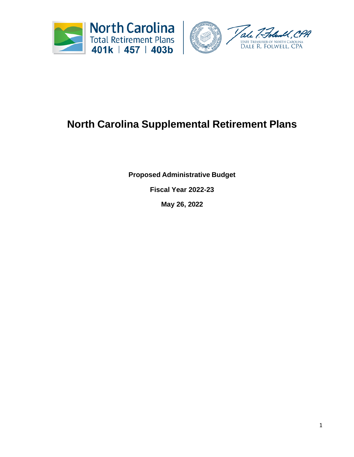

# **North Carolina Supplemental Retirement Plans**

**Proposed Administrative Budget** 

**Fiscal Year 2022-23**

**May 26, 2022**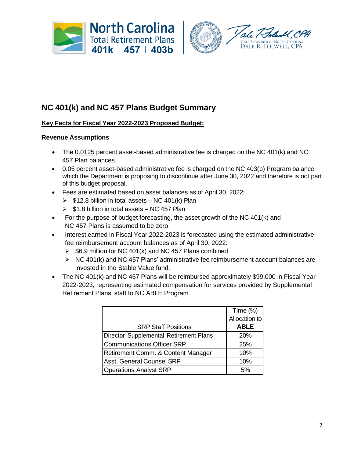



## **NC 401(k) and NC 457 Plans Budget Summary**

### **Key Facts for Fiscal Year 2022-2023 Proposed Budget:**

#### **Revenue Assumptions**

- The 0.0125 percent asset-based administrative fee is charged on the NC 401(k) and NC 457 Plan balances.
- 0.05 percent asset-based administrative fee is charged on the NC 403(b) Program balance which the Department is proposing to discontinue after June 30, 2022 and therefore is not part of this budget proposal.
- Fees are estimated based on asset balances as of April 30, 2022:
	- $\triangleright$  \$12.8 billion in total assets NC 401(k) Plan
	- $\triangleright$  \$1.8 billion in total assets NC 457 Plan
- For the purpose of budget forecasting, the asset growth of the NC 401(k) and NC 457 Plans is assumed to be zero.
- Interest earned in Fiscal Year 2022-2023 is forecasted using the estimated administrative fee reimbursement account balances as of April 30, 2022:
	- ➢ \$6.9 million for NC 401(k) and NC 457 Plans combined
	- $\triangleright$  NC 401(k) and NC 457 Plans' administrative fee reimbursement account balances are invested in the Stable Value fund.
- The NC 401(k) and NC 457 Plans will be reimbursed approximately \$99,000 in Fiscal Year 2022-2023, representing estimated compensation for services provided by Supplemental Retirement Plans' staff to NC ABLE Program.

|                                        | Time (%)      |
|----------------------------------------|---------------|
|                                        | Allocation to |
| <b>SRP Staff Positions</b>             | <b>ABLE</b>   |
| Director Supplemental Retirement Plans | 20%           |
| <b>Communications Officer SRP</b>      | 25%           |
| Retirement Comm. & Content Manager     | 10%           |
| <b>Asst. General Counsel SRP</b>       | 10%           |
| <b>Operations Analyst SRP</b>          | .5%           |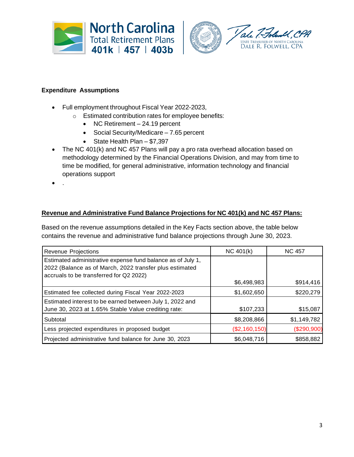



#### **Expenditure Assumptions**

- Full employment throughout Fiscal Year 2022-2023,
	- o Estimated contribution rates for employee benefits:
		- NC Retirement 24.19 percent
		- Social Security/Medicare 7.65 percent
		- State Health Plan \$7,397
- The NC 401(k) and NC 457 Plans will pay a pro rata overhead allocation based on methodology determined by the Financial Operations Division, and may from time to time be modified, for general administrative, information technology and financial operations support
- .

#### **Revenue and Administrative Fund Balance Projections for NC 401(k) and NC 457 Plans:**

Based on the revenue assumptions detailed in the Key Facts section above, the table below contains the revenue and administrative fund balance projections through June 30, 2023.

| Revenue Projections                                                                                                                                               | NC 401(k)     | <b>NC 457</b> |  |
|-------------------------------------------------------------------------------------------------------------------------------------------------------------------|---------------|---------------|--|
| Estimated administrative expense fund balance as of July 1,<br>2022 (Balance as of March, 2022 transfer plus estimated<br>accruals to be transferred for Q2 2022) |               |               |  |
|                                                                                                                                                                   | \$6,498,983   | \$914,416     |  |
| Estimated fee collected during Fiscal Year 2022-2023                                                                                                              | \$1,602,650   | \$220,279     |  |
| Estimated interest to be earned between July 1, 2022 and<br>June 30, 2023 at 1.65% Stable Value crediting rate:                                                   | \$107,233     | \$15,087      |  |
| Subtotal                                                                                                                                                          | \$8,208,866   | \$1,149,782   |  |
| Less projected expenditures in proposed budget                                                                                                                    | (\$2,160,150) | (\$290,900)   |  |
| Projected administrative fund balance for June 30, 2023                                                                                                           | \$6,048,716   | \$858,882     |  |